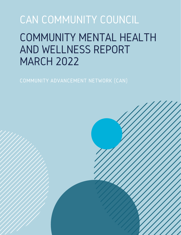# CAN COMMUNITY COUNCIL COMMUNITY MENTAL HEALTH AND WELLNESS REPORT MARCH 2022

COMMUNITY ADVANCEMENT NETWORK (CAN)

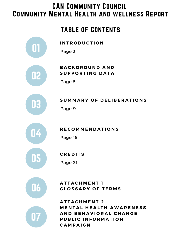# CAN Community Council Community Mental Health and wellness Report

# Table of Contents





## $\begin{array}{c} \mathbf{03} \\ \mathbf{03} \end{array}$  Page 9 **S U M M A R Y O F D E L I B E R A T I O N S**



### **R E C O M M E N D A T I O N S**



## **C R E D I T S**

Page 21



## **A T T A C H M E N T 1**  $\begin{bmatrix} 1 & 0 \\ 0 & 1 \end{bmatrix}$  **CLOSSARY OF TERMS**



 $ATTACHMENT2$  $M$  **ENTAL HEALTH AWARENESS A N D B E H A V I O R A L C H A N G E P U B L I C I N F O R M A T I O N C A M P A I G N**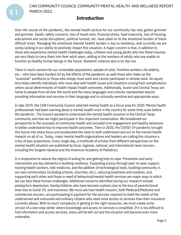CAN COMMUNITY COUNCIL COMMUNITY MENTAL HEALTH AND WELLNESS REPORT MARCH 2022

## **Introduction**

Over the course of the pandemic, the mental health picture for our community has only gotten grimmer and grimmer. Death, safety concerns, loss of loved ones, financial stress, food insecurity, loss of housing, educational and social disruptions, political turmoil, etc. have piled on to the emotional burden of these difficult times. Managing the emotional (mental health) burden is key to resiliency, and currently we are sorely lacking in our ability to positively impact this situation. A major concern is that, in addition to those who experience mental health challenges today, children and young adults who live these traumas are very likely to carry them into their adult years, adding to the numbers of adults who are unable to function as healthy human beings in the future. Domestic violence also is on the rise.

There is much concern for our vulnerable populations–people of color, frontline workers, the elderly, etc.--who have been hardest hit by the effects of the pandemic as well those who make up the "essential" workforce or those who simply must work and cannot participate in remote work. An equity lens helps identify individuals who must deal with health issues and situations arising from complications where social determinants of health impact health outcomes. Additionally, Austin and Central Texas are home to people from all over the world and the many languages and cultures represented require providing information and services in their language and in culturally sensitive and appropriate ways.

In late 2019, the CAN Community Council selected mental health as a focus area for 2020. Mental health professionals had been warning about a mental health crisis in the country for some time, even before the pandemic. The Council wanted to understand the mental health situation in the Central Texas community and how we might participate in this important conversation. We broadened our perspective to the concepts of community health and included civic engagement and healthy behaviors to better understand how to improve health outcomes. Then in 2020, the COVID-19 pandemic brought this future into sharp focus and accelerated the need to both understand and act on the mental health impacts on all of us. Today, major mental health organizations and leaders are calling this situation a crisis of epic proportions. Every single day, a multitude of articles from different perspectives on the mental health situation are published by local, regional, national, and international news sources, including the Surgeon General and the American Academy of Pediatrics.

It is imperative to reduce the stigma of asking for and getting help to cope. Prevention and early intervention are key elements in building resiliency. Expanding access through peer-to-peer support, training health workers, tele-medicine, and the addition of technological tools, building community in our own communities (including schools, churches, etc.), reducing loneliness and isolation, and supporting each other and those in need of behavioral/mental health services are major ways in which we can face these human challenges. Additional concerns identified during our research include postpartum depression, family/children who have become orphans due to the loss of parents/loved ones due to Covid-19, and insurance. We must ask how health insurers, both Medicaid/Medicare and commercial insurers, are participating in payment for the services required to meet the needs of the underserved and uninsured and ordinary citizens who need more access to services than their insurance currently allows. With so much complexity in getting to the right resources, we must create some version of a one-stop center where knowledge and access to services is simplified. If it is too difficult to find information and access services, many will be left out and the situation will become even more untenable.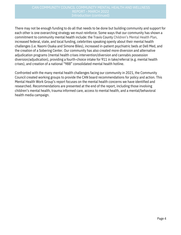There may not be enough funding to do all that needs to be done but building community and support for each other is one overarching strategy we must reinforce. Some ways that our community has shown a commitment to community mental health include: the Travis County Children's Mental Health Plan, increased federal, state, and local funding, celebrities speaking openly about their mental health challenges (i.e. Naomi Osaka [an](https://www.vox.com/22534957/naomi-osaka-french-open-wimbledon)d Simone Biles), increased in-patient psychiatric beds at Dell Med, and the creation of a Sobering Center. Our community has also created more diversion and alternative adjudication programs (mental health crises intervention/diversion and cannabis possession diversion/adjudication), providing a fourth-choice intake for 911 in take/referral (e.g. mental health crises), and creation of a national "988" consolidated mental health hotline.

Confronted with the many mental health challenges facing our community in 2021, the Community Council created working groups to provide the CAN board recommendations for policy and action. This Mental Health Work Group's report focuses on the mental health concerns we have identified and researched. Recommendations are presented at the end of the report, including those involving children's mental health, trauma informed care, access to mental health, and a mental/behavioral health media campaign.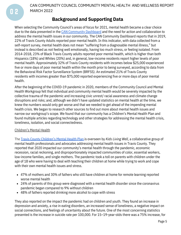CAN COMMUNITY COUNCIL COMMUNITY MENTAL HEALTH AND WELLNESS REPORT MARCH 2022

## **Background and Supporting Data**

When selecting the Community Council's areas of focus for 2021, mental health became a clear choice due to the data presented in the [C](http://canatx.org/dashboard/we-are-healthy/mental-health/)AN [Community](http://dashboard.canatx.org/) D[a](http://canatx.org/dashboard/we-are-healthy/mental-health/)shboard and the need for action and collaboration to address the mental health issues in our community. The CAN Community Dashboard reports that in 2019, 22% of Travis County Adults reported poor mental health. In this indicator, with data collected from a self-report survey, mental health does not mean "suffering from a diagnosable mental illness," but instead is described as not feeling well emotionally, having too much stress, or feeling isolated. From 2014-2018, 23% of Black Travis County adults reported poor mental health, which is higher than both Hispanics (18%) and Whites (20%) and, in general, low-income residents report higher levels of poor mental health. Approximately 32% of Travis County residents with incomes below \$25,000 experienced five or more days of poor mental health within the month prior to being surveyed, according to data from the Behavioral Risk Factor Surveillance System (BRFSS). An estimated 21% of Travis County residents with incomes greater than \$75,000 reported experiencing five or more days of poor mental health.

After the beginning of the COVID-19 pandemic in 2020, members of the Community Council and Mental Health Workgroup felt that individual and community mental health would be severely impacted by the collective trauma of the pandemic and increasing civic unrest/ racial awareness and climate change disruptions and risks; and, although we didn't have updated statistics on mental health at the time, we knew the numbers would only get worse and that we needed to get ahead of the impending mental health crisis. We began to research other sources to find out more about mental health issues and narrow our workgroup's scope. We found that our community has a Children's Mental Health Plan and found multiple articles regarding technology and other strategies for addressing the mental health crisis, loneliness, isolation, and social connectedness.

#### Children's Mental Health

The [T](https://kidslivingwell.org/cmhp/)ravis County [Children's](https://kidslivingwell.org/cmhp/) Mental Health Plan [i](https://kidslivingwell.org/cmhp/)s overseen by *Kids Living Well*, a collaborative group of mental health professionals and advocates addressing mental health issues in Travis County. They reported that 2020 impacted our community's mental health through the pandemic, economic recession, racial reckoning, and disproportionately impacted communities of color, essential workers, low-income families, and single mothers. The pandemic took a toll on parents with children under the age of 18 who were having to deal with teaching their children at home while trying to work and cope with their own mental health issues and stress.

- 47% of mothers and 30% of fathers who still have children at home for remote learning reported worse mental health
- 24% of parents of this group were diagnosed with a mental health disorder since the coronavirus pandemic began compared to 9% without children
- 48% of fathers reported drinking more alcohol to cope with stress

They also reported on the impact the pandemic had on children and youth. They found an increase in depression and anxiety, a rise in eating disorders, an increased sense of loneliness, a negative impact on social connections, and feelings of uncertainty about the future. One of the most concerning statistics presented is the increase in suicide rate per 100,000. For 15–19-year-olds there was a 75% increase, for

 $\boldsymbol{\mathsf{\Pi}}$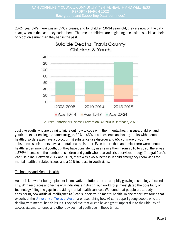20-24 year old's there was an 89% increase, and for children 10-14 years old, they are now on the data chart, when in the past, they hadn't been. That means children are beginning to consider suicide as their only option earlier than they had in the past.



Source: Centers for Disease Prevention, WONDER Database, 2020

Just like adults who are trying to figure out how to cope with their mental health issues, children and youth are experiencing the same struggle. 30% – 45% of adolescents and young adults with mental health disorders also have a co-occurring substance use disorder and 65% or more of youth with substance use disorders have a mental health disorder. Even before the pandemic, there were mental health issues amongst youth, but they have consistently risen since then. From 2016 to 2020, there was a 379% increase in the number of children and youth who received crisis services through Integral Care's 24/7 Helpline. Between 2017 and 2019, there was a 46% increase in child emergency room visits for mental health or related issues and a 20% increase in youth visits.

#### Technology and Mental Health

Austin is known for being a pioneer in innovative solutions and as a rapidly growing technology-focused city. With resources and tech-savvy individuals in Austin, our workgroup investigated the possibility of technology filling the gaps in providing mental health services. We found that people are already considering how artificial intelligence (AI) can support youth mental health. In one report, we found that [e](https://news.utexas.edu/2020/02/11/can-ai-support-youth-mental-health/)xperts at the [University](https://news.utexas.edu/2020/02/11/can-ai-support-youth-mental-health/) of Texas at Austi[n](https://news.utexas.edu/2020/02/11/can-ai-support-youth-mental-health/) are researching how AI can support young people who are dealing with mental health issues. They believe that AI can have a great impact due to the ubiquity of access via smartphones and other devices that youth use in these times.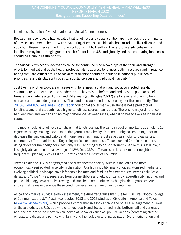## CAN COMMUNITY COUNCIL COMMUNITY MENTAL HEALTH AND WELLNESS REPORT - MARCH 2022

#### Loneliness, Isolation, Civic Alienation, and Social Connectedness

Research in recent years has revealed that loneliness and social isolation are major social determinants of physical and mental health, with devastating effects on suicide, alcoholism-related liver disease, and addiction. Researchers at the T.H. Chan School of Public Health at Harvard University believe that loneliness may be the single greatest health factor in the U.S. and globally and that combating loneliness should be a public health priority.

*The UnLonely Project at Harvard* has called for continued media coverage of the topic and stronger efforts by medical and public health professionals to address loneliness both in research and in practice, noting that "the critical nature of social relationships should be included in national public health priorities, taking its place with obesity, substance abuse, and physical inactivity."

Just like many other topic areas, issues with loneliness, isolation, and social connectedness didn't spontaneously appear once the pandemic hit. They existed beforehand and, despite popular belief, Generation Z (adults ages 18-22) and Millennials (adults ages 23-37) are lonelier and claim to be in worse health than older generations. The pandemic worsened these feelings for the community. The 2018 CIGNA U.S. [Loneliness](https://www.multivu.com/players/English/8294451-cigna-us-loneliness-survey/docs/IndexReport_1524069371598-173525450.pdf) Index Report found that social media use alone is not a predictor of loneliness and that students have higher loneliness scores than retirees. There is no major difference between men and women and no major difference between races, when it comes to average loneliness scores.

The most shocking loneliness statistic is that loneliness has the same impact on mortality as smoking 15 cigarettes a day, making it even more dangerous than obesity. Our community has come together to decrease the smoking indicator, and if loneliness has impacts just as bad as smoking, it warrants a community effort to address it. Regarding social connectedness, Texans ranked 24th in the country in doing favors for their neighbors, with only 13% reporting they do so frequently. While this is still low, it is slightly above the national average of 12%. Only 38% of Texans say they talk to their neighbors frequently – placing Texas 41st of 50 states and the District of Columbia.

Increasingly, the U.S. is a segregated and disconnected society. Austin is ranked as the most economically segregated large city in the nation. Our high mobility, many choices, atomized media, and evolving political landscape have left people isolated and families fragmented. We increasingly live cul de sac and "tribal" lives, separated from our neighbors and fellow citizens by race/ethnicity, income, and political ideology. As a rapidly growing and transient community with changing demographics, Austin and central Texas experience these conditions even more than other communities.

As part of America's Civic Health Assessment, the Annette Strauss Institute for Civic Life (Moody College of Communication, U.T. Austin) conducted 2013 and 2018 studies of Civic Life in America and Texas [\(www.txcivichealth.org\),](http://www.txcivichealth.org/) which provide a comprehensive look at civic and political engagement in Texas. In those studies, the U.S. as a whole ranked poorly and Texas ranked in the bottom half and generally near the bottom of the index, which looked at behaviors such as: political actions (contacting elected officials and discussing politics with family and friends); electoral participation (voter registration and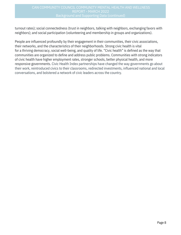## CAN COMMUNITY COUNCIL COMMUNITY MENTAL HEALTH AND WELLNESS REPORT - MARCH 2022

turnout rates); social connectedness (trust in neighbors, talking with neighbors, exchanging favors with neighbors); and social participation (volunteering and membership in groups and organizations).

People are influenced profoundly by their engagement in their communities, their civic associations, their networks, and the characteristics of their neighborhoods. Strong civic health is vital for a thriving democracy, social well-being, and quality of life. "Civic health" is defined as the way that communities are organized to define and address public problems. Communities with strong indicators of civic health have higher employment rates, stronger schools, better physical health, and more responsive governments. Civic Health Index partnerships have changed the way governments go about their work, reintroduced civics to their classrooms, redirected investments, influenced national and local conversations, and bolstered a network of civic leaders across the country.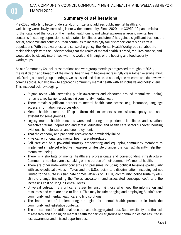CAN COMMUNITY COUNCIL COMMUNITY MENTAL HEALTH AND WELLNESS REPORT MARCH 2022

#### **Summary of Deliberations**

Pre-2020, efforts to better understand, prioritize, and address public mental health and well-being were slowly increasing in our wider community. Since 2020, the COVID-19 pandemic has further catalyzed the focus on the mental health crisis, and whilst awareness around mental health concerns (including depression, suicide rates, loneliness, and stress) has gained significant traction, the social, economic and holistic burden continues to increasingly fall disproportionately on certain populations. With this awareness and sense of urgency, the Mental Health Workgroup set about to tackle this topic with the understanding that the realm of mental health is broad, requires nuance, and would also be closely interlinked with the work and findings of the housing and food security workgroups.

As our Community Council presentations and workgroup meetings progressed throughout 2021, the vast depth and breadth of the mental health realm became increasingly clear (albeit overwhelming so). During our workgroup meetings, we assessed and discussed not only the research and data we were coming across, but also how to approach community mental health with an inclusive and holistic lens. This included acknowledging:

- Stigma (even with increasing public awareness and discourse around mental well-being) remains a key barrier to advancing community mental health.
- There remain significant barriers to mental health care access (e.g. insurance, language access, information, resources etc).
- Mental health across the lifespan (from kids to seniors is inconsistent, spotty, and nonexistent for some groups ).
- Legacy mental health concerns worsened during the pandemic–loneliness and isolation, collective trauma, depression and stress, education and health care sector turnover, housing evictions, homelessness, and unemployment.
- That the economy and pandemic recovery are inextricably linked.
- Physical, emotional, and mental health are interrelated.
- Self care can be a powerful strategy–empowering and equipping community members to implement simple yet effective measures or lifestyle changes that can significantly help their mental wellbeing.
- There is a shortage of mental healthcare professionals and corresponding infrastructure. Community members are also taking on the burden of their community's mental health.
- There are other noteworthy concerns and pressures including, political tensions (particularly with socio-political divides in Texas and the U.S.), racism and discrimination (including but not limited to the surge in Asian hate crimes, attacks on LGBTQ community, police brutality etc), climate change (including the Texas snowstorm and associated consequences), and the increasing cost of living in Central Texas.
- Universal outreach is a critical strategy for ensuring those who need the information and resources and care are able to find it. This may include bridging and employing Austin's tech community and mental health care to find solutions.
- The importance of implementing strategies for mental health promotion in both the community and legislative contexts.
- The critical need for additional research and disaggregated data. Data invisibility and the lack of research and funding on mental health for particular groups or communities has resulted in less awareness and missed opportunities.

03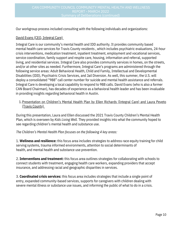Our workgroup process included consulting with the following individuals and organizations:

#### David Evans (CEO, Integral Care)

Integral Care is our community's mental health and IDD authority. It provides community based mental health care services for Travis County residents , which includes psychiatric evaluations, 24-hour crisis interventions, medication treatment, inpatient treatment, employment and vocational services, service coordination, family support and respite care, housing, information and referral, supported living, and residential services. Integral Care also provides community services in homes, on the streets, and/or at other sites as needed. Furthermore, Integral Care's programs are administered through the following service areas: Adult Behavioral Health, Child and Family, Intellectual and Developmental Disabilities (IDD), Psychiatric Crisis Services, and Jail Diversion. As well, this summer, the U.S. will deploy a consolidated "988" call center number for suicide and mental health assistance and referrals. Integral Care is developing a local capability to respond to 988 calls. David Evans (who is also a former CAN Board Chairman), has decades of experience as a behavioral health leader and has been invaluable in providing insights regarding behavioral health in Austin.

#### 1.<u>Presentation on Children's Mental Health Plan by Ellen Richards (Integral Care) and Laura Peveto</u> (Travis County)

During this presentation, Laura and Ellen discussed the 2021 Travis County Children's Mental Health Plan, which is overseen by *Kids Living Well.* They provided insights into what the community hoped to see regarding children's mental health and substance use.

#### *The Children's Mental Health Plan focuses on the following 4 key areas:*

1. **Wellness and resilience:** this focus area includes strategies to address race equity training for child serving systems, trauma informed environments, attention to social determinants of health, and mental health and substance use prevention.

2. **Interventions and treatment:** this focus area outlines strategies for collaborating with schools to connect students with treatment, engaging health care workers, expanding providers that accept insurance, and addressing racial and geographic disparities in services.

3. **Coordinated crisis services:** this focus area includes strategies that include a single point of entry, expanded community-based services, supports for caregivers with children dealing with severe mental illness or substance use issues, and informing the public of what to do in a crisis.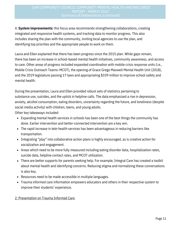4. **System improvements:** this focus area recommends strengthening collaborations, creating integrated and responsive health systems, and tracking data to monitor progress. This also includes sharing the plan with the community, inviting local agencies to use the plan, and identifying top priorities and the appropriate people to work on them.

Laura and Ellen explained that there has been progress since the 2015 plan. While gaps remain, there has been an increase in school-based mental health initiatives, community awareness, and access to care. Other areas of progress included expanded coordination with mobile crisis response units (i.e., Mobile Crisis Outreach Teams–MCOT), the opening of Grace Grego Maxwell Mental Health Unit (2018), and the 2019 legislature passing 17 laws and appropriating \$339 million to improve school safety and mental health.

During the presentation, Laura and Ellen provided robust sets of statistics pertaining to substance use, suicides, and the uptick in helpline calls. The data emphasized a rise in depression, anxiety, alcohol consumption, eating disorders, uncertainty regarding the future, and loneliness (despite social media activity) with children, teens, and young adults.

Other key takeaways included:

- Expanding mental health services in schools has been one of the best things the community has done. Earlier intervention and better-connected intervention are a key win.
- The rapid increase in tele-health services has been advantageous in reducing barriers like transportation.
- Integrating "play" into collaborative action plans is highly encouraged, as is creative action for socialization and engagement.
- Areas which need to be more fully measured including eating disorder data, hospitalization rates, suicide data, helpline contact rates, and MCOT utilization.
- There are better supports for parents seeking help. For example, Integral Care has created a toolkit about mental health and identifying concerns. Reducing stigma and normalizing these conversations is also key.
- Resources need to be made accessible in multiple languages.
- Trauma informed care information empowers educators and others in their respective system to improve their students' experience.

#### 2. Presentation on Trauma Informed Care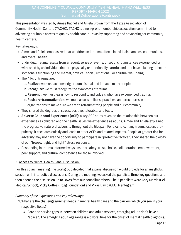This presentation was led by Aimee Rachel and Aniela Brown from the Texas Association of Community Health Centers (TACHC). TACHC is a non-profit membership association committed to advancing equitable access to quality health care in Texas by supporting and advocating for community health centers.

Key takeaways:

- Aimee and Aniela emphasized that unaddressed trauma affects individuals, families, communities, and overall health.
- Individual trauma results from an event, series of events, or set of circumstances experienced or witnessed by an individual that are physically or emotionally harmful and that have a lasting effect on someone's functioning and mental, physical, social, emotional, or spiritual well-being.
- The 4 Rs of trauma are:
	- **Realize:** we must acknowledge trauma is real and impacts many people. a.
	- **Recognize:** we must recognize the symptoms of trauma. b.
	- **Respond:** we must learn how to respond to individuals who have experienced trauma. c.
	- **Resist re-traumatization:** we must assess policies, practices, and procedures in our d. organizations to make sure we aren't retraumatizing people and our community.
- They shared the degrees of stress: positive, tolerable, and toxic.
- **Adverse Childhood Experiences (ACE):** a key ACE study revealed the relationship between our experiences as children and the health issues we experience as adults. Aimee and Aniela explained the progressive nature of adversity throughout the lifespan. For example, if any trauma occurs prepuberty, it escalates quickly and leads to other ACEs and related impacts. People at greater risk for adversity may not have the opportunity to participate in "protective factors". They shared the biology of our "freeze, flight, and fight" stress response.
- Responding in trauma informed ways ensures safety, trust, choice, collaboration, empowerment, peer support, and cultural competence for those involved.

#### 3. Access to Mental Health Panel Discussion

For this council meeting, the workgroup decided that a panel discussion would provide for an insightful session with interactive discussions. During the meeting, we asked the panelists three key questions and then opened the discussion up to Q&As from our councilmembers. The 3 panelists were Cory Morris (Dell Medical School), Vicky Coffee (Hogg Foundation) and Vikas David (CEO, Mentegram).

#### *Summary of the 3 questions and key takeaways:*

- What are the challenges/unmet needs in mental health care and the barriers which you see in your 1. respective fields?
	- Care and service gaps in-between children and adult services, emerging adults don't have a "space". The emerging adult age range is a pivotal time for the onset of mental health diagnosis.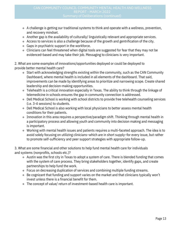- A challenge is getting our traditional systems to think and operate with a wellness, prevention, and recovery mindset.
- Another gap is the availability of culturally/ linguistically relevant and appropriate services.
- Access to services is also a challenge because of the growth and gentrification of the city.
- Gaps in psychiatric support in the workforce.
- Clinicians can feel threatened when digital tools are suggested for fear that they may not be evidenced-based and may take their job. Messaging to clinicians is very important.

2. What are some examples of innovations/opportunities deployed or could be deployed to provide better mental health care?

- $\circ$  Start with acknowledging strengths existing within the community, such as the CAN Community Dashboard, where mental health is included in all elements of the dashboard. That said, improvements can be made by identifying areas to prioritize and narrowing scope. Create shared leadership and decision-making opportunities.
- Telehealth is a critical innovation especially in Texas. The ability to think through the linkage of telemedicine in schools ensures the gap in community connection is addressed.
- Dell Medical School is working with school districts to provide free telehealth counseling services (i.e. 3-4 sessions) to students.
- Dell Medical School is also working with local physicians to better assess mental health conditions for their patients.
- Innovation in this area requires a perspective/paradigm shift. Thinking through mental health in a participatory process and allowing youth and community into decision making and messaging is important.
- Working with mental health issues and patients requires a multi-faceted approach. The idea is to avoid solely focusing on utilizing clinicians–which are in short supply–for every issue, but rather to promote self-sufficiency and peer support strategies with appropriate follow-up.

3. What are some financial and other solutions to help fund mental health care for individuals and systems (nonprofits, schools etc.)?

- Austin was the first city in Texas to adopt a system of care. There is blended funding that comes with the system of care process. They bring stakeholders together, identify gaps, and create partnerships to help fund the work.
- Focus on decreasing duplication of services and combining multiple funding streams.
- Be cognizant that funding and support varies on the market and that clinicians typically won't invest unless there is a financial benefit for them.
- The concept of value/ return of investment-based health care is important.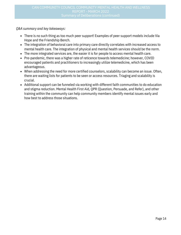*Q&A summary and key takeaways:*

- There is no such thing as too much peer support! Examples of peer support models include Via Hope and the Friendship Bench.
- The integration of behavioral care into primary care directly correlates with increased access to mental health care. The integration of physical and mental health services should be the norm.
- The more integrated services are, the easier it is for people to access mental health care.
- Pre-pandemic, there was a higher rate of reticence towards telemedicine; however, COVID encouraged patients and practitioners to increasingly utilize telemedicine, which has been advantageous.
- When addressing the need for more certified counselors, scalability can become an issue. Often, there are waiting lists for patients to be seen or access resources. Triaging and scalability is crucial.
- Additional support can be funneled via working with different faith communities to do education and stigma reduction. Mental Health First Aid, QPR (Question, Persuade, and Refer), and other training within the community can help community members identify mental issues early and how best to address those situations.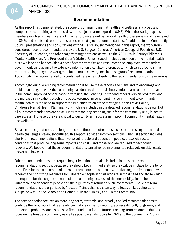CAN COMMUNITY COUNCIL COMMUNITY MENTAL HEALTH AND WELLNESS REPORT MARCH 2022

#### **Recommendations**

As this report has demonstrated, the scope of community mental health and wellness is a broad and complex topic, requiring a systems view and subject matter expertise (SME). While the workgroup has members involved in health care administration, we are not behavioral health professionals and have relied on SMEs and published reports and studies in making our recommendations. In addition to the Community Council presentations and consultations with SMEs previously mentioned in this report, the workgroup considered recent recommendations by the U.S. Surgeon General, American College of Pediatrics, U.S. Secretary of Education, and other cognizant organizations as well as the 2021 Travis County Children's Mental Health Plan. And President Biden's State of Union Speech included mention of the mental health crisis we face and has provided a *Fact Sheet* of strategies and resources to be employed by the federal government. In reviewing the extensive information available (references to which can be found in this report's bibliography), the workgroup found much convergence in these groups' recommendations. Accordingly, the recommendations contained herein hew closely to the recommendations by these groups.

Accordingly, our overarching recommendation is to use these reports and plans and to encourage and build upon the good work the community has done to date—crisis intervention teams on the street and in the home, improved school-based strategies, the Sobering Center and other diversion programs, and the increase in in-patient psychiatric beds. Foremost in continuing this commitment to community mental health is the need to support the implementation of the strategies in the Travis County Children's Mental Health Plan, many of which are included in our detailed recommendations below. Not all our recommendations are novel. Many restate long-standing goals for the community (e.g., in health care access). However, they are critical to our long-term success in improving community mental health and wellness.

Because of the great need and long-term commitment required for success in addressing the mental health challenges previously outlined, this report is divided into two sections. The first section includes short-term recommendations that involve vulnerable and dependent people, those with acute conditions that produce long-term impacts and costs, and those who are required for economic recovery. We believe that these recommendations can either be implemented relatively quickly, easily, and/or at a low cost.

Other recommendations that require longer lead times are also included in the short-term recommendations section, because they should begin immediately so they will be in place for the longterm. Even for those recommendations that are more difficult, costly, or take longer to implement, we recommend prioritizing resources for vulnerable people in crisis who are in most need and those which are required for the long-term health of our community because of the moral obligation to help vulnerable and dependent people and the high rates of return on such investments. The short-term recommendations are organized by "location" since that is a clear way to focus on key vulnerable groups, to wit: "In the Schools and Homes"; "In the Clinics", and "In the Community".

The second section focuses on more long-term, systemic, and broadly applied recommendations to continue the good work that is already being done in the community, address difficult, long-term, and intractable problems, and establish a firm foundation for the future. The long-term recommendations focus on the broader community as well as possible study topics for CAN and the Community Council.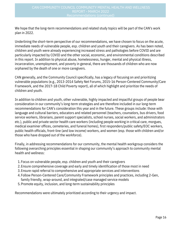We hope that the long-term recommendations and related study topics will be part of the CAN's work plan in 2022.

Underlining the short-term perspective of our recommendations, we have chosen to focus on the acute, immediate needs of vulnerable people, esp. children and youth and their caregivers. As has been noted, children and youth were already experiencing increased stress and pathologies before COVID and are particularly impacted by COVID and the other social, economic, and environmental conditions described in this report. In addition to physical abuse, homelessness, hunger, mental and physical illness, incarceration, unemployment, and poverty in general, there are thousands of children who are now orphaned by the death of one or more caregivers.

CAN generally, and the Community Council specifically, has a legacy of focusing on and prioritizing vulnerable populations (e.g., 2013-2014 Safety Net Forums, 2015-16 Person-Centered Community/Care Framework, and the 2017-18 Child Poverty report), all of which highlight and prioritize the needs of children and youth.

In addition to children and youth, other vulnerable, highly impacted and impactful groups of people bear consideration in our community's long-term strategies and are therefore included in our long-term recommendations for CAN's consideration this year and in the future. These groups include: those with language and cultural barriers, educators and related personnel (teachers, counselors, bus drivers, food service workers, librarians, parent support specialists, school nurses, social workers, and administrators etc.), public and private sector health care workers (including people working in critical care, morgues, medical examiner offices, cemeteries, and funeral homes), first responders/public safety/EOC workers, public health officials, front-line (and low income) workers, and women (esp. those with children and/or those who have dropped out of the workforce).

Finally, in addressing recommendations for our community, the mental health workgroup considers the following overarching principles essential in shaping our community's approach to community mental health and wellness:

- Focus on vulnerable people, esp. children and youth and their caregivers 1.
- Ensure comprehensive coverage and early and timely identification of those most in need 2.
- Ensure rapid referral to comprehensive and appropriate services and interventions 3.
- Follow Person-Centered Care/Community Framework principles and practices, including 2-Gen, 4. family friendly, wrap-around, and integrated/case managed service models
- Promote equity, inclusion, and long-term sustainability principles 5.

Recommendations were ultimately prioritized according to their urgency and impact.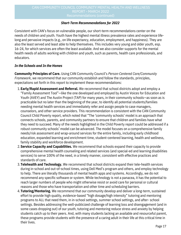#### *Short-Term Recommendations for 2022*

Consistent with CAN's focus on vulnerable people, our short-term recommendations center on the needs of children and youth. Youth have the highest mental illness prevalence rates and experience lifelong and pervasive impacts (e.g., on life expectancy, education, employment, and happiness). They are also the least served and least able to help themselves. This includes very young and older youth, esp. 16-24, for which services are often the least available. And we also consider supports for the mental health needs of adults working with children and youth, such as parents, health care professionals, and educators.

#### *In the Schools and In the Homes*

**Community Principles of Care.** Using CAN Community Council's *Person-Centered Care/Community Framework*, we recommend that our community establish and follow the standards, principles, expectations set forth in this report to implement these recommendations:

- **Early/Rapid Assessment and Referral.** We recommend that school districts adopt and employ a 1. "Family Assessment Tool"—like the one developed and employed by Austin Voices for Education and Youth (AVEY) and The Austin Project (TAP) for many years, in their community schools—as soon as is practicable but no later than the beginning of the year, to identify all potential students/families needing mental health services and immediately refer and assign people to case managers, counselors, and other service providers. This recommendation is consistent with the CAN Community Council Child Poverty report, which noted that "The 'community schools' model is an approach that connects schools, parents, and community partners to ensure that children and families have what they need to succeed. Many of the needs highlighted in the Child Poverty report could be addressed if a robust community schools' model can be advanced. The model focuses on a comprehensive family needs/risk assessment and wrap-around services for the entire family, including early childhood education, expanded learning and enrichment time, student-centered learning, health and wellness, family stability and workforce development.
- **Service Capacity and Capabilities.** We recommend that schools expand their capacity to provide 2. comprehensive mental health counseling and related services (and special-ed and learning disabilities services) to serve 100% of the need, in a timely manner, consistent with effective practices and standards of care.
- **Telehealth and Technology.** We recommend that school districts expand their tele-health services 3. during in-school and out-of-school times, using Dell Med's program and others, and employ technology to help. There are literally thousands of mental health apps and systems. Accordingly, we do not recommend any specific software or system. While technology is not a panacea, it has the potential to reach larger numbers of people who might otherwise resist or avoid care for personal or cultural reasons and those who have transportation and other time and scheduling barriers.
- **Tutoring/Mentoring.** We recommend that our community develop and deliver a long-term, sustained 4. effort to provide high quality, evidence-based "high dosage/high intensity" tutoring and mentoring programs to ALL that need them, in in-school settings, summer school settings, and after- school settings. Besides addressing the well-publicized challenge of learning loss and disengagement (and in some cases dropping out) of our youth, tutoring and mentoring reduce stress and anxiety by helping students catch up to their peers. And, with many students lacking an available and resourceful parent, these programs provide students with the presence of a caring adult in their life at this critical time in their lives.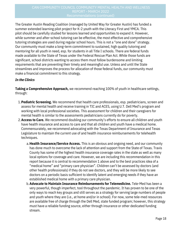The Greater Austin Reading Coalition (managed by United Way for Greater Austin) has funded a summer extended learning pilot project for K-2 youth with the Literacy First and YMCA. This pilot should be carefully studied for lessons learned and opportunities to expand it. However, while summer and after-school tutoring can be effective, the most effective and comprehensive tutoring strategies are used during regular school hours. This is not a "one and done" strategy. Our community must make a long-term commitment to sustained, high quality tutoring and mentoring for all youth in need, esp. for students in all Title I schools. There are federal funds made available to the State of Texas under the Federal Rescue Plan Act. While those funds are significant, school districts wanting to access them must follow burdensome and limiting requirements that are preventing their timely and meaningful use. Unless and until the State streamlines and improves the process for allocation of those federal funds, our community must make a financial commitment to this strategy.

#### *In the Clinics*

**Taking a Comprehensive Approach,** we recommend reaching 100% of youth in healthcare settings, through:

- **Pediatric Screening.** We recommend that health care professionals, esp. pediatricians, screen and 1. assess for mental health and receive training in TIC and ACES, using U.T. Dell Med's program and working with local professional societies. This assessment for children and their caregivers for mental health is similar to the assessments pediatricians currently do for poverty.
- **Access to Care.** We recommend doubling our community's efforts to ensure all children and youth 2. have health insurance and access to care and that all children and youth have a medical home. Commensurately, we recommend advocating with the Texas Department of Insurance and Texas Legislature to maintain the current use of and health insurance reimbursements for telehealth techniques.
	- **Health Insurance/Service Access.** This is an obvious and ongoing need, and our community a. has done much to overcome the lack of attention and support from the State of Texas. Travis County has some of the highest health insurance coverage rates in the state as well as many local options for coverage and care. However, we are including this recommendation in this report because it is central to recommendation 1 above and to the best practices idea of a "medical home" and "primary care physician". Children can't be assessed by doctors (and other health professionals) if they do not see doctors, and they will be more likely to see doctors on a periodic basis sufficient to identify latent and emerging needs if they have an established medical home with a primary care physician.
	- **Advocate to Maintain Insurance Reimbursements for Telemedicine.** Tele-Med has been a b. very powerful, though imperfect, tool throughout the pandemic. It has proven to be one of the only ways to reach key groups and still serves as a strategy for serving large numbers of people and youth where they are (i.e., at home and/or in school). For now, some tele-med resources are available free of charge through the Dell Med, state funded program; however, this strategy must have a reliable funding source, either through insurance or other dedicated funding stream.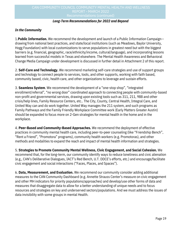## CAN COMMUNITY COUNCIL COMMUNITY MENTAL HEALTH AND WELLNESS REPORT - MARCH 2022

#### *Long-Term Recommendations for 2022 and Beyond*

#### *In the Community*

1.**Public Information.** We recommend the development and launch of a Public Information Campaign- drawing from national best practices, and state/local institutions (such as Meadows, Baylor University, Hogg Foundation) with local customizations to serve populations in greatest need but with the biggest barriers (e.g. financial, geographic, race/ethnicity/income, cultural/language), and incorporating lessons learned from successful models in Texas and elsewhere. The Mental Health Awareness and Behavioral Change Media Campaign under development is discussed in further detail in Attachment 2 of this report.

2. **Self-Care and Technology.** We recommend marketing self-care strategies and use of support groups and technology to connect people to services, tools, and other supports, working with faith based, community based, civic, health care, and other organizations to leverage and sustain efforts.

3. **Seamless System**. We recommend the development of a "one-stop shop", "integrated enrollment/referral", "no wrong door" coordinated approach to connecting people with community-based non-profit and governmental services, drawing upon existing tools such as 311, 211, 988 and other crisis/help lines, Family Resource Centers, etc.. The City, County, Central Health, Integral Care, and United Way can and do work together. United Way manages the 211 system, and such programs as Family Pathways and the Family Friendly Workplace Committee work (Early Matters Greater Austin) should be expanded to focus more on 2-Gen strategies for mental health in the home and in the workplace.

4. **Peer-Based and Community-Based Approaches.** We recommend the deployment of effective practices in community mental health care, including peer-to-peer counseling (like "Friendship Bench", "Rent a Friend", "Promotora" programs), community health workers (e.g. Promotoras), and other methods and modalities to expand the reach and impact of mental health information and strategies.

5. **Strategies to Promote Community Mental Wellness, Civic Engagement, and Social Cohesion.** We recommend that, for the long-term, our community identify ways to reduce loneliness and civic alienation (e.g., CAN's Deliberative Dialogues, IACT's Red Bench, U.T. DDCE's efforts, etc.) and encourage/facilitate civic engagement and social interactions ("Faces, Places, and Spaces").

6. **Data, Measurement, and Evaluation.** We recommend our community consider adding additional measures to the CAN Community Dashboard (e.g. Annette Strauss Center's measure on civic engagement and other MH indicators for priority populations/approaches) and develop/use other forms of data and measures that disaggregate data to allow for a better understanding of unique needs and to focus resources and strategies on key and underserved sectors/populations. And we must address the issues of data invisibility with some groups in mental Health.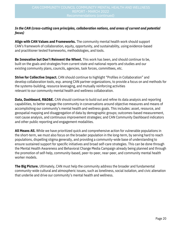#### *In the CAN (cross-cutting core principles, collaboration notions, and areas of current and potential focus)*

**Align with CAN Values and Frameworks.** The community mental health work should support CAN's framework of collaboration, equity, opportunity, and sustainability, using evidence-based and practitioner tested frameworks, methodologies, and tools.

**Be Innovative but Don't Reinvent the Wheel.** This work has been, and should continue to be, built on the goals and strategies from current state and national reports and studies and our existing community plans, councils, agencies, task forces, committees, etc.

**Strive for Collective Impact.** CAN should continue to highlight "Profiles in Collaboration" and develop collaboration tools, esp. among CAN partner organizations, to provide a focus on and methods for the systems-building, resource leveraging, and mutually reinforcing activities relevant to our community mental health and wellness collaboration.

**Data, Dashboard, R&D&E.** CAN should continue to build out and refine its data analysis and reporting capabilities, to better engage the community in conversations around objective measures and means of accomplishing our community's mental health and wellness goals. This includes: asset, resource, and geospatial mapping and disaggregation of data by demographic groups; outcomes-based measurement, root cause analysis, and continuous improvement strategies; and CAN Community Dashboard indicators and other public reporting and engagement modalities.

**All Means All.** While we have prioritized quick and comprehensive action for vulnerable populations in the short-term, we must also focus on the broader population in the long-term, by serving hard to reach populations, dispelling stigma generally, and providing a community-wide base of understanding to ensure sustained support for specific initiatives and broad self-care strategies. This can be done through the Mental Health Awareness and Behavioral Change Media Campaign already being planned and through the promotion of self-help, community-based, peer-to-peer, near-peer, and community mental health worker models.

**The Big Picture.** Ultimately, CAN must help the community address the broader and fundamental community-wide cultural and atmospheric issues, such as loneliness, social isolation, and civic alienation that underlie and drive our community's mental health and wellness.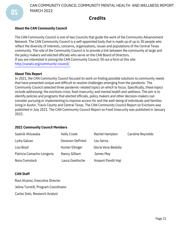CAN COMMUNITY COUNCIL COMMUNITY MENTAL HEALTH AND WELLNESS REPORT MARCH 2022

## **Credits**

#### **About the CAN Community Council**

The CAN Community Council is one of two Councils that guide the work of the Community Advancement Network. The CAN Community Council is a self-appointed body that is made up of up to 30 people who reflect the diversity of interests, concerns, organizations, issues and populations of the Central Texas community. The role of the Community Council is to provide a link between the community at large and the policy makers and elected officials who serve on the CAN Board of Directors. If you are interested in joining the CAN Community Council, fill out a form at this site: http://canatx.org/community-council/

#### **About This Report**

In 2021, the CAN Community Council focused its work on finding possible solutions to community needs that have presented unique and difficult to resolve challenges emerging from the pandemic. The Community Council selected three pandemic-related topics on which to focus. Specifically, these topics include addressing: the evictions crisis; food insecurity; and mental health and wellness. The aim is to identify policies and programs that elected officials, policy makers and other decision-makers can consider pursuing or implementing to improve access for and the well-being of individuals and families living in Austin, Travis County and Central Texas. The CAN Community Council Report on Evictions was published in July 2021. The CAN Community Council Report on Food Insecurity was published in January 2022.

#### **2021 Community Council Members**

| Saatvik Ahluwalia         | Kelly Crook      | Rachel Hampton      | Caroline Reynolds |
|---------------------------|------------------|---------------------|-------------------|
| Lydia Galvan              | Donovon DePriest | Lou Serna           |                   |
| Lisa Boyd                 | Hunter Ellinger  | Gloria Vera-Bedolla |                   |
| Patricia Camacho-Longoria | Nancy Gilliam    | James May           |                   |
| Nora Comstock             | Laura Goettsche  | Anaami Pandit Haji  |                   |

#### **CAN Staff**

Raul Alvarez, Executive Director Jelina Tunstill, Program Coordinator Carlos Soto, Research Analyst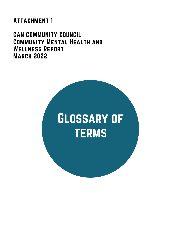# **ATTACHMENT 1**

## CAN COMMUNITY COUNCIL Community Mental Health and Wellness Report March 2022

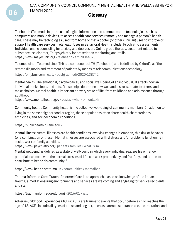CAN COMMUNITY COUNCIL COMMUNITY MENTAL HEALTH AND WELLNESS REPORT MARCH 2022

### **Glossary**

Telehealth (Telemedicine)- the use of digital information and communication technologies, such as computers and mobile devices, to access health care services remotely and manage a person's health care. These may be technologies used from home or that a doctor (or other clinician) uses to improve or support health care services. Telehealth Uses in Behavioral Health include: Psychiatric assessments, Individual online counseling for anxiety and depression, Online group therapy, treatment related to substance use disorder, Telepsychiatry for prescription monitoring and refills [https://www.mayoclinic.org](https://www.mayoclinic.org/healthy-lifestyle/consumer-health/in-depth/telehealth/art-20044878) › telehealth › [art-20044878](https://www.mayoclinic.org/healthy-lifestyle/consumer-health/in-depth/telehealth/art-20044878)

Telemedicine - Telemedicine (TM) is a component of TH [Telehealth] and is defined by Oxford's as 'the remote diagnosis and treatment of patients by means of telecommunications technology. [https://pmj.bmj.com](https://pmj.bmj.com/content/early/2020/09/24/postgradmedj-2020-138742) › early › [postgradmedj-2020-138742](https://pmj.bmj.com/content/early/2020/09/24/postgradmedj-2020-138742)

Mental health: The emotional, psychological, and social well-being of an individual. It affects how an individual thinks, feels, and acts. It also helps determine how we handle stress, relate to others, and make choices. Mental health is important at every stage of life, from childhood and adolescence through adulthood.

[https://www.mentalhealth.gov](https://www.mentalhealth.gov/basics/what-is-mental-health) › basics › [what-is-mental-h...](https://www.mentalhealth.gov/basics/what-is-mental-health)

Community health: Community health is the collective well-being of community members. In addition to living in the same neighborhood or region, these populations often share health characteristics, ethnicities, and socioeconomic conditions.

[https://publichealth.tulane.edu](https://publichealth.tulane.edu/blog/why-community-health-is-important-for-public-health/) [›](https://publichealth.tulane.edu/blog/why-community-health-is-important-for-public-health/)

0 6

Mental illness: Mental illnesses are health conditions involving changes in emotion, thinking or behavior (or a combination of these). Mental illnesses are associated with distress and/or problems functioning in social, work or family activities.

[https://www.psychiatry.org](https://www.psychiatry.org/patients-families/what-is-mental-illness) › [patients-families](https://www.psychiatry.org/patients-families/what-is-mental-illness) › what-is-m...

Mental wellbeing: is defined as a state of well-being in which every individual realizes his or her own potential, can cope with the normal stresses of life, can work productively and fruitfully, and is able to contribute to her or his community."

[https://www.health.state.mn.us](https://www.health.state.mn.us/communities/mentalhealth/) › [communities](https://www.health.state.mn.us/communities/mentalhealth/) › mentalhea..[.](https://www.health.state.mn.us/communities/mentalhealth/)

Trauma Informed Care: Trauma Informed Care is an approach, based on knowledge of the impact of trauma, aimed at ensuring environments and services are welcoming and engaging for service recipients and staff.

[https://traumainformedoregon.org](https://traumainformedoregon.org/wp-content/uploads/2016/01/What-is-Trauma-Informed-Care.pdf) › [2016/01](https://traumainformedoregon.org/wp-content/uploads/2016/01/What-is-Trauma-Informed-Care.pdf) › W...

Adverse Childhood Experiences (ACEs): ACEs are traumatic events that occur before a child reaches the age of 18. ACEs include all types of abuse and neglect, such as parental substance use, incarceration, and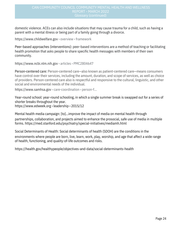## CAN COMMUNITY COUNCIL COMMUNITY MENTAL HEALTH AND WELLNESS REPORT - MARCH 2022

domestic violence. ACEs can also include situations that may cause trauma for a child, such as having a parent with a mental illness or being part of a family going through a divorce.

[https://www.childwelfare.gov](https://www.childwelfare.gov/topics/preventing/overview/framework/aces/?utm_source=facebook&utm_medium=social&fbclid=IwAR06UGEGsuxESbGQ25qsWxztuv1Do2zWSAOThNL96eEB-y-FmjHnE9wHYNY) › overview › [framework](https://www.childwelfare.gov/topics/preventing/overview/framework/aces/?utm_source=facebook&utm_medium=social&fbclid=IwAR06UGEGsuxESbGQ25qsWxztuv1Do2zWSAOThNL96eEB-y-FmjHnE9wHYNY)

Peer-based approaches (interventions): peer-based interventions are a method of teaching or facilitating health promotion that asks people to share specific health messages with members of their own community.

[https://www.ncbi.nlm.nih.gov](https://www.ncbi.nlm.nih.gov/pmc/articles/PMC2804647/) › articles › [PMC2804647](https://www.ncbi.nlm.nih.gov/pmc/articles/PMC2804647/)

Person-centered care: Person-centered care—also known as patient-centered care—means consumers have control over their services, including the amount, duration, and scope of services, as well as choice of providers. Person-centered care also is respectful and responsive to the cultural, linguistic, and other social and environmental needs of the individual.

[https://www.samhsa.gov](https://www.samhsa.gov/section-223/care-coordination/person-family-centered) › [care-coordination](https://www.samhsa.gov/section-223/care-coordination/person-family-centered) › person-f...

Year-round school: year-round schooling, in which a single summer break is swapped out for a series of shorter breaks throughout the year. [https://www.edweek.org](https://www.edweek.org/leadership/year-round-schooling-explained/2015/12) › leadership › 2015/12

Mental health media campaign: [to]…improve the impact of media on mental health through partnerships, collaboration, and projects aimed to enhance the prosocial, safe use of media in multiple forms. <https://med.stanford.edu/psychiatry/special-initiatives/mediamh.html>

Social Determinants of Health: Social determinants of health (SDOH) are the conditions in the environments where people are born, live, learn, work, play, worship, and age that affect a wide range of health, functioning, and quality-of-life outcomes and risks.

<https://health.gov/healthypeople/objectives-and-data/social-determinants-health>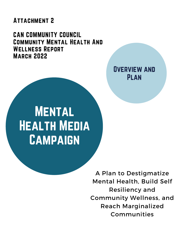# **ATTACHMENT 2**

CAN COMMUNITY COUNCIL Community Mental Health And Wellness Report March 2022

> Overview and Plan

# **MENTAL** Health Media **CAMPAIGN**

A Plan to Destigmatize Mental Health, Build Self Resiliency and Community Wellness, and Reach Marginalized Communities